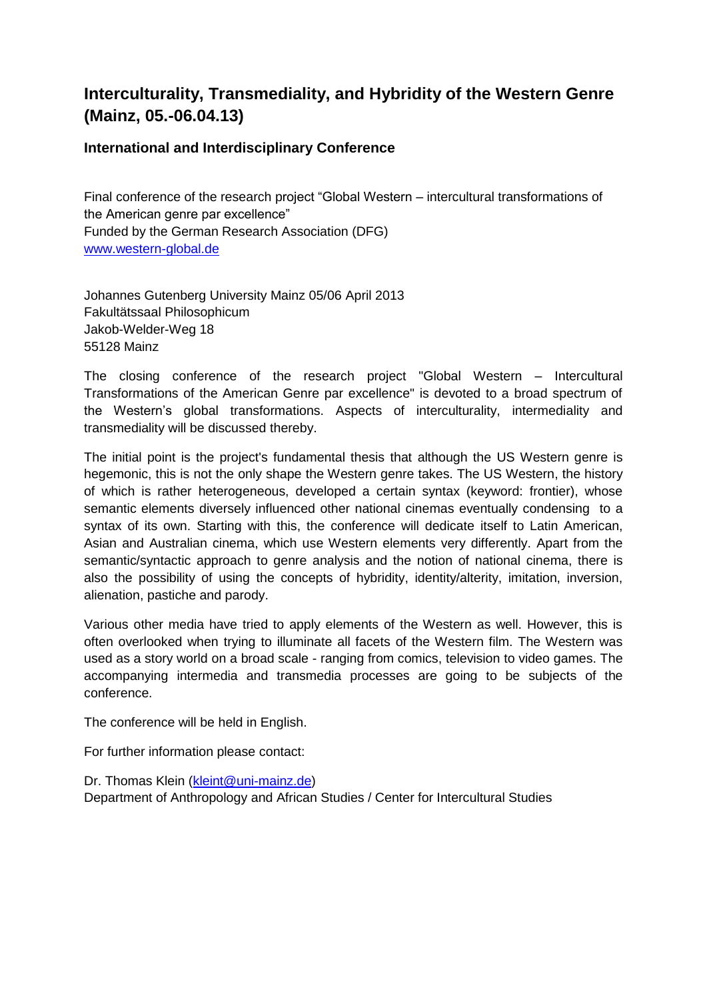# **Interculturality, Transmediality, and Hybridity of the Western Genre (Mainz, 05.-06.04.13)**

# **International and Interdisciplinary Conference**

Final conference of the research project "Global Western – intercultural transformations of the American genre par excellence" Funded by the German Research Association (DFG) [www.western-global.de](http://www.western-global.de/)

Johannes Gutenberg University Mainz 05/06 April 2013 Fakultätssaal Philosophicum Jakob-Welder-Weg 18 55128 Mainz

The closing conference of the research project "Global Western – Intercultural Transformations of the American Genre par excellence" is devoted to a broad spectrum of the Western's global transformations. Aspects of interculturality, intermediality and transmediality will be discussed thereby.

The initial point is the project's fundamental thesis that although the US Western genre is hegemonic, this is not the only shape the Western genre takes. The US Western, the history of which is rather heterogeneous, developed a certain syntax (keyword: frontier), whose semantic elements diversely influenced other national cinemas eventually condensing to a syntax of its own. Starting with this, the conference will dedicate itself to Latin American, Asian and Australian cinema, which use Western elements very differently. Apart from the semantic/syntactic approach to genre analysis and the notion of national cinema, there is also the possibility of using the concepts of hybridity, identity/alterity, imitation, inversion, alienation, pastiche and parody.

Various other media have tried to apply elements of the Western as well. However, this is often overlooked when trying to illuminate all facets of the Western film. The Western was used as a story world on a broad scale - ranging from comics, television to video games. The accompanying intermedia and transmedia processes are going to be subjects of the conference.

The conference will be held in English.

For further information please contact:

Dr. Thomas Klein [\(kleint@uni-mainz.de\)](mailto:kleint@uni-mainz.de) Department of Anthropology and African Studies / Center for Intercultural Studies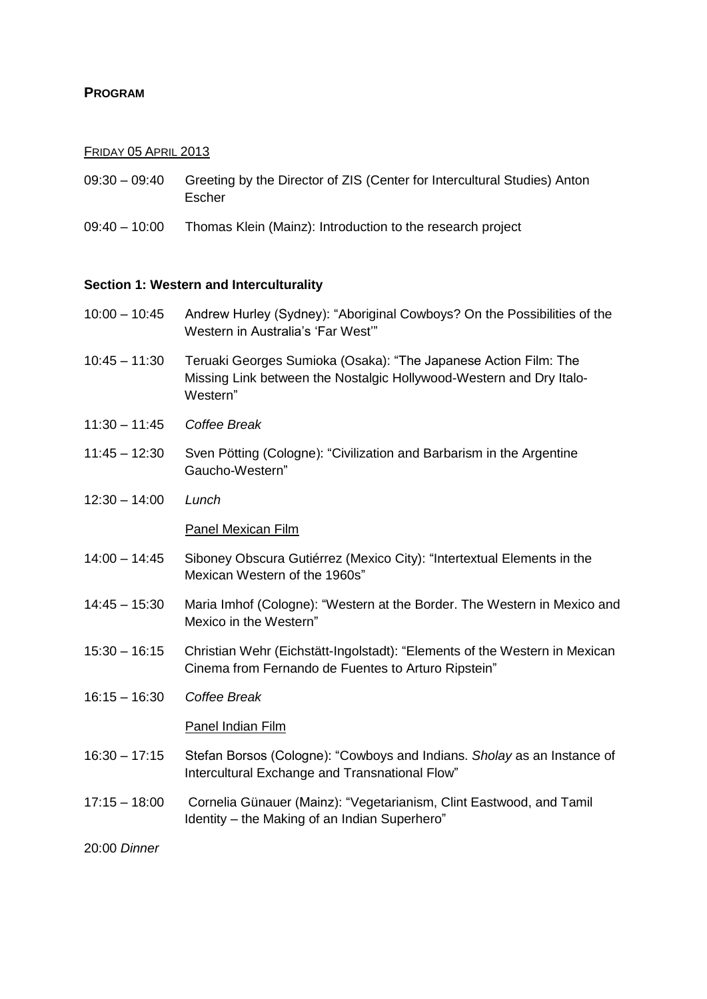## **PROGRAM**

## FRIDAY 05 APRIL 2013

- 09:30 09:40 Greeting by the Director of ZIS (Center for Intercultural Studies) Anton Escher
- 09:40 10:00 Thomas Klein (Mainz): Introduction to the research project

## **Section 1: Western and Interculturality**

- 10:00 10:45 Andrew Hurley (Sydney): "Aboriginal Cowboys? On the Possibilities of the Western in Australia's 'Far West'"
- 10:45 11:30 Teruaki Georges Sumioka (Osaka): "The Japanese Action Film: The Missing Link between the Nostalgic Hollywood-Western and Dry Italo-Western"
- 11:30 11:45 *Coffee Break*
- 11:45 12:30 Sven Pötting (Cologne): "Civilization and Barbarism in the Argentine Gaucho-Western"
- 12:30 14:00 *Lunch*

#### Panel Mexican Film

- 14:00 14:45 Siboney Obscura Gutiérrez (Mexico City): "Intertextual Elements in the Mexican Western of the 1960s"
- 14:45 15:30 Maria Imhof (Cologne): "Western at the Border. The Western in Mexico and Mexico in the Western"
- 15:30 16:15 Christian Wehr (Eichstätt-Ingolstadt): "Elements of the Western in Mexican Cinema from Fernando de Fuentes to Arturo Ripstein"
- 16:15 16:30 *Coffee Break*

#### Panel Indian Film

- 16:30 17:15 Stefan Borsos (Cologne): "Cowboys and Indians. *Sholay* as an Instance of Intercultural Exchange and Transnational Flow"
- 17:15 18:00 Cornelia Günauer (Mainz): "Vegetarianism, Clint Eastwood, and Tamil Identity – the Making of an Indian Superhero"

20:00 *Dinner*